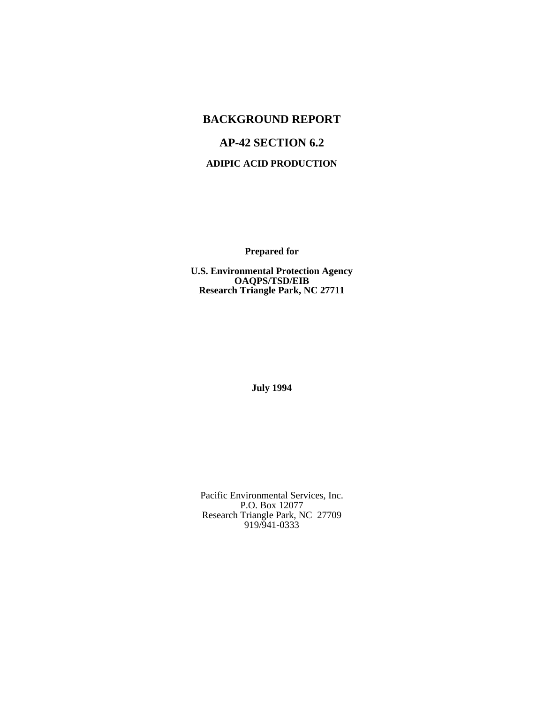# **BACKGROUND REPORT**

# **AP-42 SECTION 6.2**

## **ADIPIC ACID PRODUCTION**

**Prepared for**

**U.S. Environmental Protection Agency OAQPS/TSD/EIB Research Triangle Park, NC 27711**

**July 1994**

Pacific Environmental Services, Inc. P.O. Box 12077 Research Triangle Park, NC 27709 919/941-0333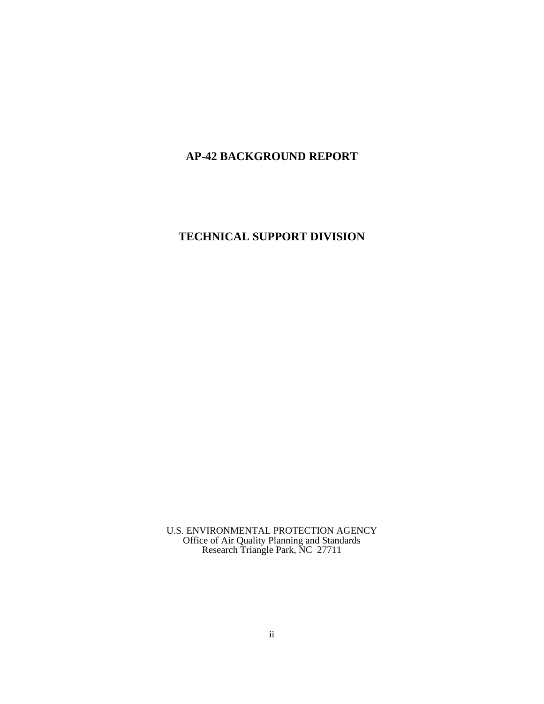# **AP-42 BACKGROUND REPORT**

# **TECHNICAL SUPPORT DIVISION**

U.S. ENVIRONMENTAL PROTECTION AGENCY Office of Air Quality Planning and Standards Research Triangle Park, NC 27711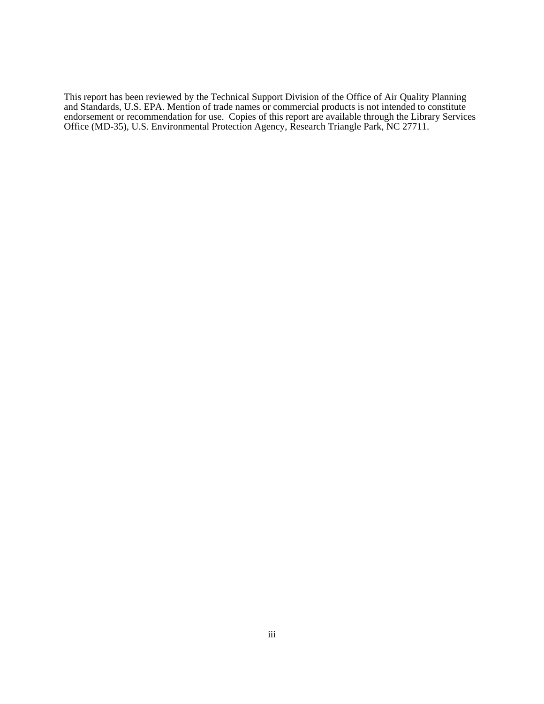This report has been reviewed by the Technical Support Division of the Office of Air Quality Planning and Standards, U.S. EPA. Mention of trade names or commercial products is not intended to constitute endorsement or recommendation for use. Copies of this report are available through the Library Services Office (MD-35), U.S. Environmental Protection Agency, Research Triangle Park, NC 27711.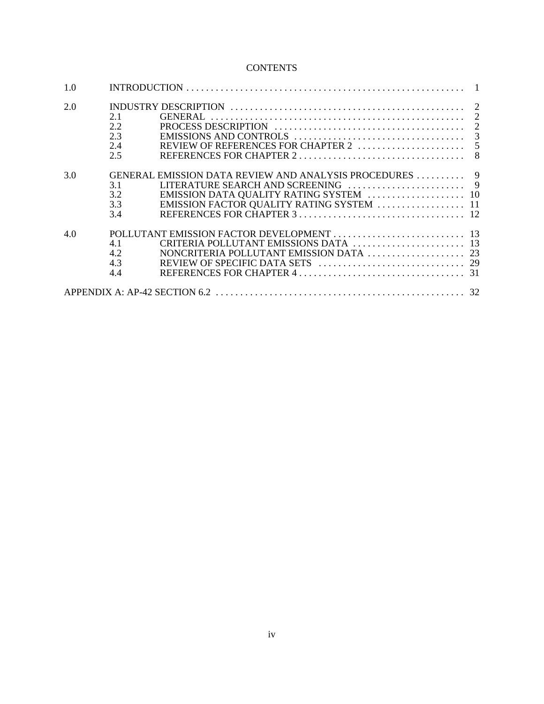## **CONTENTS**

| 1.0 |                                                                                                                                   |  |
|-----|-----------------------------------------------------------------------------------------------------------------------------------|--|
| 2.0 | 2.1<br>2.2<br>EMISSIONS AND CONTROLS $\ldots \ldots \ldots \ldots \ldots \ldots \ldots \ldots \ldots \ldots$<br>2.3<br>2.4<br>2.5 |  |
| 3.0 | GENERAL EMISSION DATA REVIEW AND ANALYSIS PROCEDURES  9<br>3.1<br>3.2<br>3.3<br>EMISSION FACTOR QUALITY RATING SYSTEM  11<br>3.4  |  |
| 4.0 | 4.1<br>4.2<br>4.3<br>4.4                                                                                                          |  |
|     |                                                                                                                                   |  |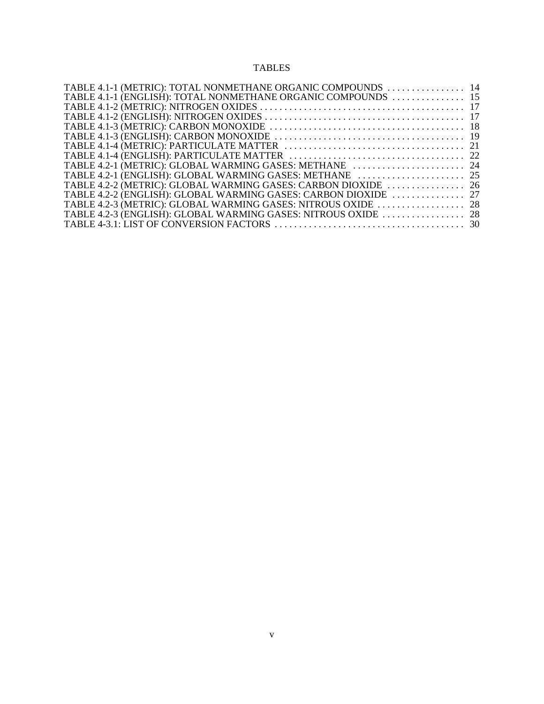## TABLES

| TABLE 4.1-1 (METRIC): TOTAL NONMETHANE ORGANIC COMPOUNDS  14  |  |
|---------------------------------------------------------------|--|
| TABLE 4.1-1 (ENGLISH): TOTAL NONMETHANE ORGANIC COMPOUNDS  15 |  |
|                                                               |  |
|                                                               |  |
|                                                               |  |
|                                                               |  |
|                                                               |  |
|                                                               |  |
|                                                               |  |
|                                                               |  |
|                                                               |  |
|                                                               |  |
|                                                               |  |
|                                                               |  |
|                                                               |  |
|                                                               |  |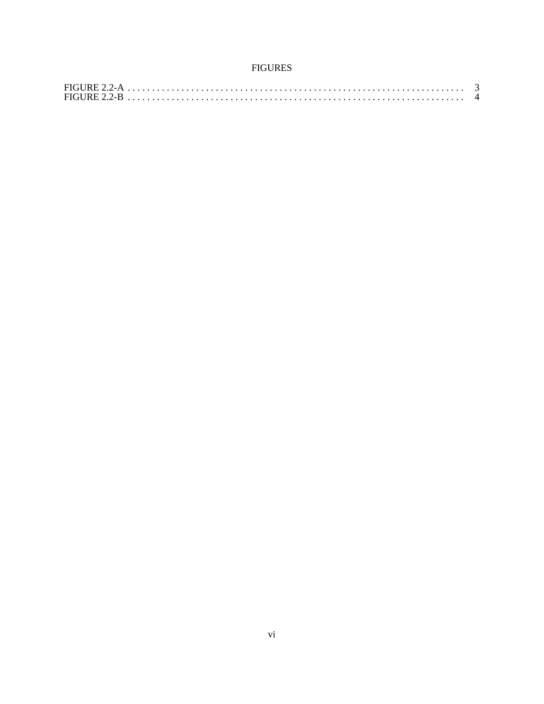## ${\hbox{FIGURES}}$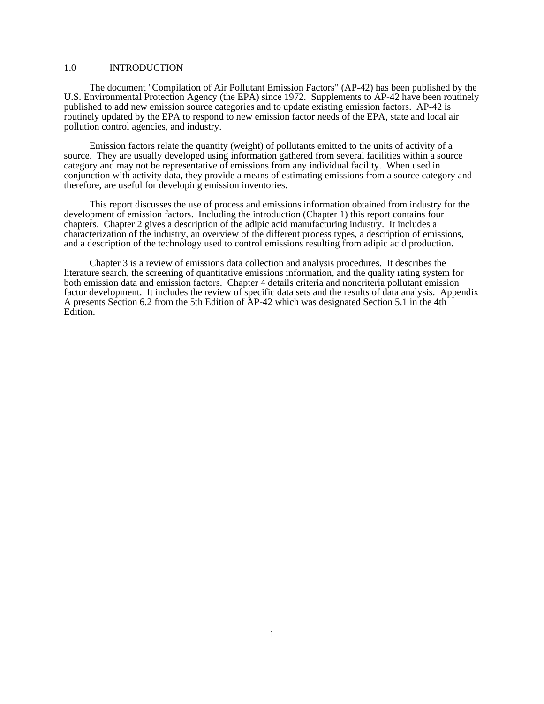#### 1.0 INTRODUCTION

The document "Compilation of Air Pollutant Emission Factors" (AP-42) has been published by the U.S. Environmental Protection Agency (the EPA) since 1972. Supplements to AP-42 have been routinely published to add new emission source categories and to update existing emission factors. AP-42 is routinely updated by the EPA to respond to new emission factor needs of the EPA, state and local air pollution control agencies, and industry.

Emission factors relate the quantity (weight) of pollutants emitted to the units of activity of a source. They are usually developed using information gathered from several facilities within a source category and may not be representative of emissions from any individual facility. When used in conjunction with activity data, they provide a means of estimating emissions from a source category and therefore, are useful for developing emission inventories.

This report discusses the use of process and emissions information obtained from industry for the development of emission factors. Including the introduction (Chapter 1) this report contains four chapters. Chapter 2 gives a description of the adipic acid manufacturing industry. It includes a characterization of the industry, an overview of the different process types, a description of emissions, and a description of the technology used to control emissions resulting from adipic acid production.

Chapter 3 is a review of emissions data collection and analysis procedures. It describes the literature search, the screening of quantitative emissions information, and the quality rating system for both emission data and emission factors. Chapter 4 details criteria and noncriteria pollutant emission factor development. It includes the review of specific data sets and the results of data analysis. Appendix A presents Section 6.2 from the 5th Edition of AP-42 which was designated Section 5.1 in the 4th Edition.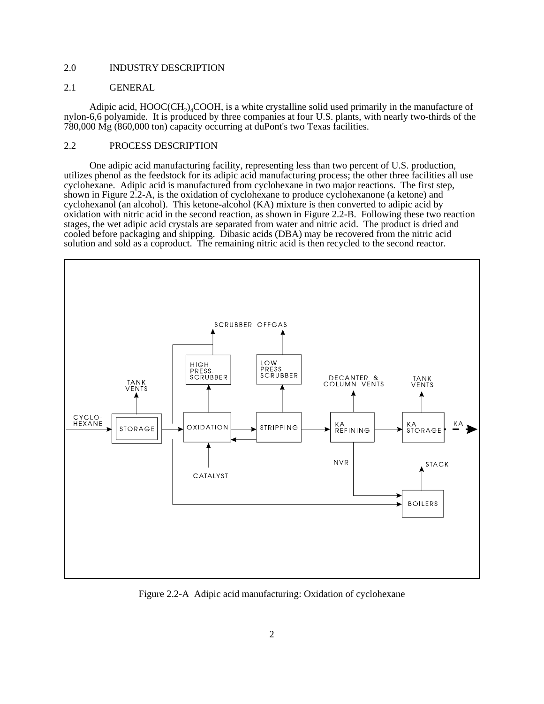## 2.0 INDUSTRY DESCRIPTION

## 2.1 GENERAL

Adipic acid,  $HOOC(CH_2)_4COOH$ , is a white crystalline solid used primarily in the manufacture of nylon-6,6 polyamide. It is produced by three companies at four U.S. plants, with nearly two-thirds of the 780,000 Mg (860,000 ton) capacity occurring at duPont's two Texas facilities.

## 2.2 PROCESS DESCRIPTION

One adipic acid manufacturing facility, representing less than two percent of U.S. production, utilizes phenol as the feedstock for its adipic acid manufacturing process; the other three facilities all use cyclohexane. Adipic acid is manufactured from cyclohexane in two major reactions. The first step, shown in Figure 2.2-A, is the oxidation of cyclohexane to produce cyclohexanone (a ketone) and cyclohexanol (an alcohol). This ketone-alcohol (KA) mixture is then converted to adipic acid by oxidation with nitric acid in the second reaction, as shown in Figure 2.2-B. Following these two reaction stages, the wet adipic acid crystals are separated from water and nitric acid. The product is dried and cooled before packaging and shipping. Dibasic acids (DBA) may be recovered from the nitric acid solution and sold as a coproduct. The remaining nitric acid is then recycled to the second reactor.



Figure 2.2-A Adipic acid manufacturing: Oxidation of cyclohexane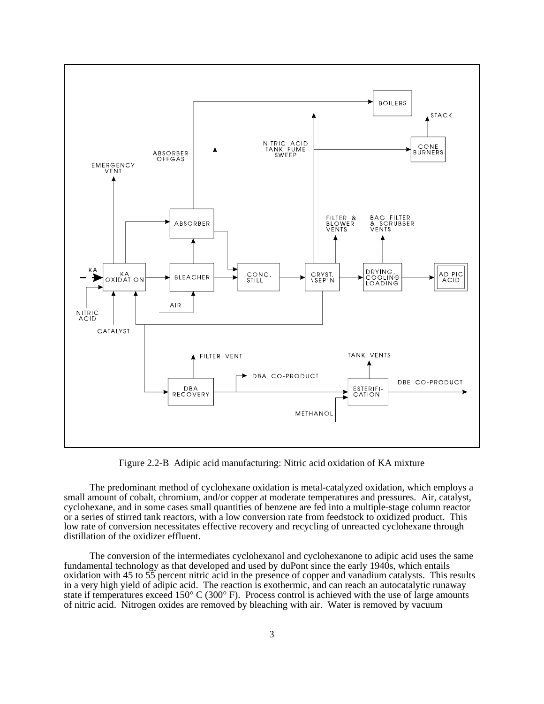

Figure 2.2-B Adipic acid manufacturing: Nitric acid oxidation of KA mixture

The predominant method of cyclohexane oxidation is metal-catalyzed oxidation, which employs a small amount of cobalt, chromium, and/or copper at moderate temperatures and pressures. Air, catalyst, cyclohexane, and in some cases small quantities of benzene are fed into a multiple-stage column reactor or a series of stirred tank reactors, with a low conversion rate from feedstock to oxidized product. This low rate of conversion necessitates effective recovery and recycling of unreacted cyclohexane through distillation of the oxidizer effluent.

The conversion of the intermediates cyclohexanol and cyclohexanone to adipic acid uses the same fundamental technology as that developed and used by duPont since the early 1940s, which entails oxidation with 45 to 55 percent nitric acid in the presence of copper and vanadium catalysts. This results in a very high yield of adipic acid. The reaction is exothermic, and can reach an autocatalytic runaway state if temperatures exceed 150° C (300° F). Process control is achieved with the use of large amounts of nitric acid. Nitrogen oxides are removed by bleaching with air. Water is removed by vacuum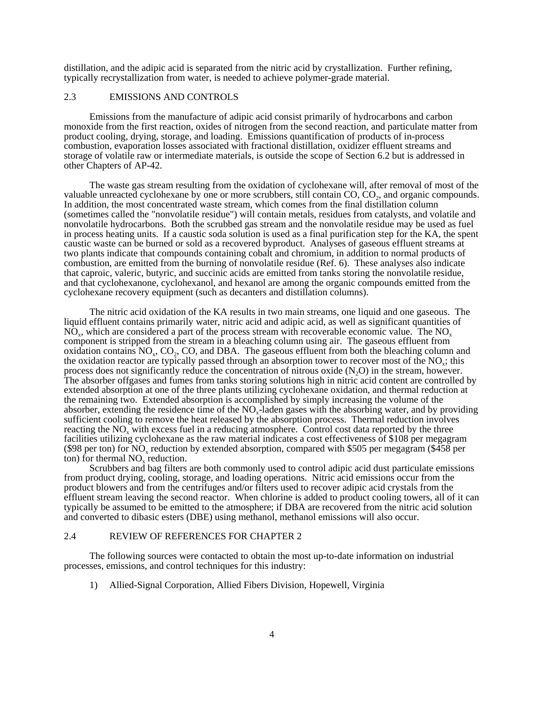distillation, and the adipic acid is separated from the nitric acid by crystallization. Further refining, typically recrystallization from water, is needed to achieve polymer-grade material.

## 2.3 EMISSIONS AND CONTROLS

Emissions from the manufacture of adipic acid consist primarily of hydrocarbons and carbon monoxide from the first reaction, oxides of nitrogen from the second reaction, and particulate matter from product cooling, drying, storage, and loading. Emissions quantification of products of in-process combustion, evaporation losses associated with fractional distillation, oxidizer effluent streams and storage of volatile raw or intermediate materials, is outside the scope of Section 6.2 but is addressed in other Chapters of AP-42.

The waste gas stream resulting from the oxidation of cyclohexane will, after removal of most of the valuable unreacted cyclohexane by one or more scrubbers, still contain  $CO$ ,  $CO<sub>2</sub>$ , and organic compounds. In addition, the most concentrated waste stream, which comes from the final distillation column (sometimes called the "nonvolatile residue") will contain metals, residues from catalysts, and volatile and nonvolatile hydrocarbons. Both the scrubbed gas stream and the nonvolatile residue may be used as fuel in process heating units. If a caustic soda solution is used as a final purification step for the KA, the spent caustic waste can be burned or sold as a recovered byproduct. Analyses of gaseous effluent streams at two plants indicate that compounds containing cobalt and chromium, in addition to normal products of combustion, are emitted from the burning of nonvolatile residue (Ref. 6). These analyses also indicate that caproic, valeric, butyric, and succinic acids are emitted from tanks storing the nonvolatile residue, and that cyclohexanone, cyclohexanol, and hexanol are among the organic compounds emitted from the cyclohexane recovery equipment (such as decanters and distillation columns).

The nitric acid oxidation of the KA results in two main streams, one liquid and one gaseous. The liquid effluent contains primarily water, nitric acid and adipic acid, as well as significant quantities of  $N_{\rm O}$ , which are considered a part of the process stream with recoverable economic value. The NO<sub>x</sub> component is stripped from the stream in a bleaching column using air. The gaseous effluent from oxidation contains  $NO_x$ ,  $CO_2$ ,  $CO$ , and DBA. The gaseous effluent from both the bleaching column and the oxidation reactor are typically passed through an absorption tower to recover most of the NO<sub>x</sub>; this process does not significantly reduce the concentration of nitrous oxide  $(N_2O)$  in the stream, however. The absorber offgases and fumes from tanks storing solutions high in nitric acid content are controlled by extended absorption at one of the three plants utilizing cyclohexane oxidation, and thermal reduction at the remaining two. Extended absorption is accomplished by simply increasing the volume of the absorber, extending the residence time of the NO<sub>x</sub>-laden gases with the absorbing water, and by providing sufficient cooling to remove the heat released by the absorption process. Thermal reduction involves reacting the NO<sub>x</sub> with excess fuel in a reducing atmosphere. Control cost data reported by the three facilities utilizing cyclohexane as the raw material indicates a cost effectiveness of \$108 per megagram (\$98 per ton) for  $NO<sub>x</sub>$  reduction by extended absorption, compared with \$505 per megagram (\$458 per ton) for thermal  $NO<sub>x</sub>$  reduction.

Scrubbers and bag filters are both commonly used to control adipic acid dust particulate emissions from product drying, cooling, storage, and loading operations. Nitric acid emissions occur from the product blowers and from the centrifuges and/or filters used to recover adipic acid crystals from the effluent stream leaving the second reactor. When chlorine is added to product cooling towers, all of it can typically be assumed to be emitted to the atmosphere; if DBA are recovered from the nitric acid solution and converted to dibasic esters (DBE) using methanol, methanol emissions will also occur.

#### 2.4 REVIEW OF REFERENCES FOR CHAPTER 2

The following sources were contacted to obtain the most up-to-date information on industrial processes, emissions, and control techniques for this industry:

1) Allied-Signal Corporation, Allied Fibers Division, Hopewell, Virginia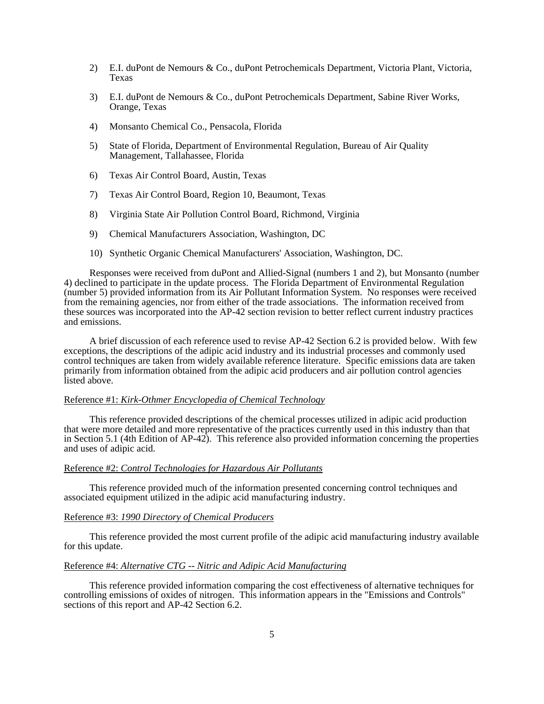- 2) E.I. duPont de Nemours & Co., duPont Petrochemicals Department, Victoria Plant, Victoria, Texas
- 3) E.I. duPont de Nemours & Co., duPont Petrochemicals Department, Sabine River Works, Orange, Texas
- 4) Monsanto Chemical Co., Pensacola, Florida
- 5) State of Florida, Department of Environmental Regulation, Bureau of Air Quality Management, Tallahassee, Florida
- 6) Texas Air Control Board, Austin, Texas
- 7) Texas Air Control Board, Region 10, Beaumont, Texas
- 8) Virginia State Air Pollution Control Board, Richmond, Virginia
- 9) Chemical Manufacturers Association, Washington, DC
- 10) Synthetic Organic Chemical Manufacturers' Association, Washington, DC.

Responses were received from duPont and Allied-Signal (numbers 1 and 2), but Monsanto (number 4) declined to participate in the update process. The Florida Department of Environmental Regulation (number 5) provided information from its Air Pollutant Information System. No responses were received from the remaining agencies, nor from either of the trade associations. The information received from these sources was incorporated into the AP-42 section revision to better reflect current industry practices and emissions.

A brief discussion of each reference used to revise AP-42 Section 6.2 is provided below. With few exceptions, the descriptions of the adipic acid industry and its industrial processes and commonly used control techniques are taken from widely available reference literature. Specific emissions data are taken primarily from information obtained from the adipic acid producers and air pollution control agencies listed above.

### Reference #1: *Kirk-Othmer Encyclopedia of Chemical Technology*

This reference provided descriptions of the chemical processes utilized in adipic acid production that were more detailed and more representative of the practices currently used in this industry than that in Section 5.1 (4th Edition of AP-42). This reference also provided information concerning the properties and uses of adipic acid.

### Reference #2: *Control Technologies for Hazardous Air Pollutants*

This reference provided much of the information presented concerning control techniques and associated equipment utilized in the adipic acid manufacturing industry.

#### Reference #3: *1990 Directory of Chemical Producers*

This reference provided the most current profile of the adipic acid manufacturing industry available for this update.

#### Reference #4: *Alternative CTG -- Nitric and Adipic Acid Manufacturing*

This reference provided information comparing the cost effectiveness of alternative techniques for controlling emissions of oxides of nitrogen. This information appears in the "Emissions and Controls" sections of this report and AP-42 Section 6.2.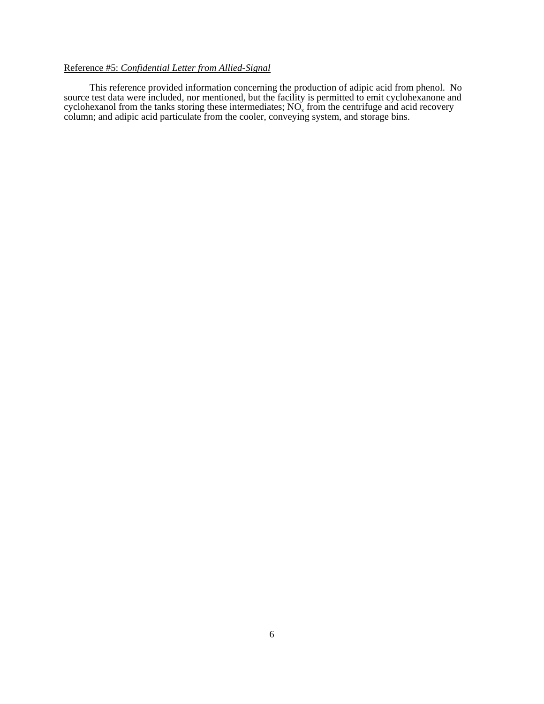## Reference #5: *Confidential Letter from Allied-Signal*

This reference provided information concerning the production of adipic acid from phenol. No source test data were included, nor mentioned, but the facility is permitted to emit cyclohexanone and cyclohexanol from the tanks storing these intermediates;  $NO<sub>x</sub>$  from the centrifuge and acid recovery column; and adipic acid particulate from the cooler, conveying system, and storage bins.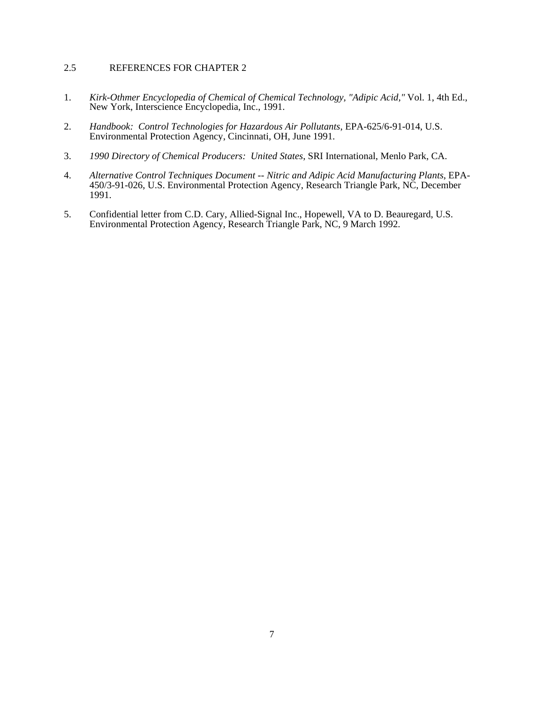## 2.5 REFERENCES FOR CHAPTER 2

- 1. *Kirk-Othmer Encyclopedia of Chemical of Chemical Technology, "Adipic Acid,"* Vol. 1, 4th Ed., New York, Interscience Encyclopedia, Inc., 1991.
- 2. *Handbook: Control Technologies for Hazardous Air Pollutants*, EPA-625/6-91-014, U.S. Environmental Protection Agency, Cincinnati, OH, June 1991.
- 3. *1990 Directory of Chemical Producers: United States*, SRI International, Menlo Park, CA.
- 4. *Alternative Control Techniques Document -- Nitric and Adipic Acid Manufacturing Plants*, EPA-450/3-91-026, U.S. Environmental Protection Agency, Research Triangle Park, NC, December 1991.
- 5. Confidential letter from C.D. Cary, Allied-Signal Inc., Hopewell, VA to D. Beauregard, U.S. Environmental Protection Agency, Research Triangle Park, NC, 9 March 1992.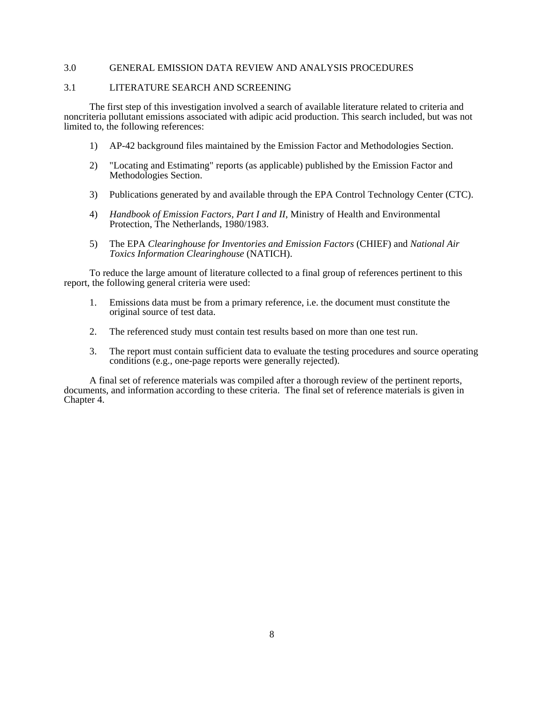## 3.0 GENERAL EMISSION DATA REVIEW AND ANALYSIS PROCEDURES

## 3.1 LITERATURE SEARCH AND SCREENING

The first step of this investigation involved a search of available literature related to criteria and noncriteria pollutant emissions associated with adipic acid production. This search included, but was not limited to, the following references:

- 1) AP-42 background files maintained by the Emission Factor and Methodologies Section.
- 2) "Locating and Estimating" reports (as applicable) published by the Emission Factor and Methodologies Section.
- 3) Publications generated by and available through the EPA Control Technology Center (CTC).
- 4) *Handbook of Emission Factors, Part I and II*, Ministry of Health and Environmental Protection, The Netherlands, 1980/1983.
- 5) The EPA *Clearinghouse for Inventories and Emission Factors* (CHIEF) and *National Air Toxics Information Clearinghouse* (NATICH).

To reduce the large amount of literature collected to a final group of references pertinent to this report, the following general criteria were used:

- 1. Emissions data must be from a primary reference, i.e. the document must constitute the original source of test data.
- 2. The referenced study must contain test results based on more than one test run.
- 3. The report must contain sufficient data to evaluate the testing procedures and source operating conditions (e.g., one-page reports were generally rejected).

A final set of reference materials was compiled after a thorough review of the pertinent reports, documents, and information according to these criteria. The final set of reference materials is given in Chapter 4.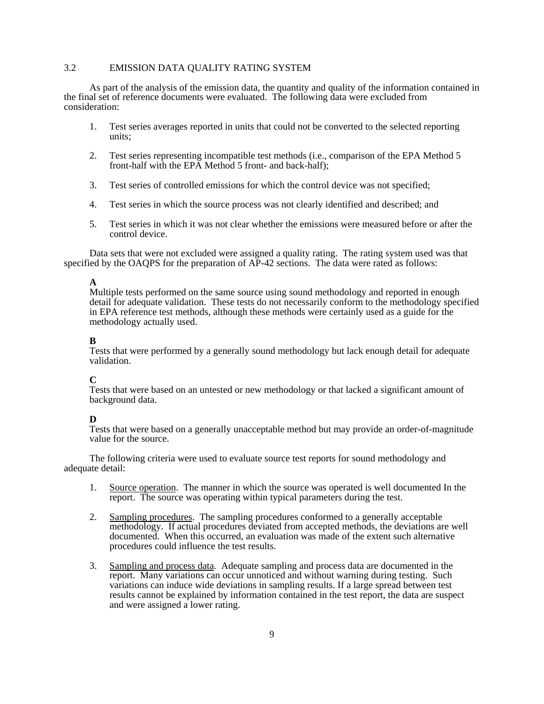## 3.2 EMISSION DATA QUALITY RATING SYSTEM

As part of the analysis of the emission data, the quantity and quality of the information contained in the final set of reference documents were evaluated. The following data were excluded from consideration:

- 1. Test series averages reported in units that could not be converted to the selected reporting units;
- 2. Test series representing incompatible test methods (i.e., comparison of the EPA Method 5 front-half with the EPA Method 5 front- and back-half);
- 3. Test series of controlled emissions for which the control device was not specified;
- 4. Test series in which the source process was not clearly identified and described; and
- 5. Test series in which it was not clear whether the emissions were measured before or after the control device.

Data sets that were not excluded were assigned a quality rating. The rating system used was that specified by the OAQPS for the preparation of AP-42 sections. The data were rated as follows:

#### **A**

Multiple tests performed on the same source using sound methodology and reported in enough detail for adequate validation. These tests do not necessarily conform to the methodology specified in EPA reference test methods, although these methods were certainly used as a guide for the methodology actually used.

#### **B**

Tests that were performed by a generally sound methodology but lack enough detail for adequate validation.

#### **C**

Tests that were based on an untested or new methodology or that lacked a significant amount of background data.

#### **D**

Tests that were based on a generally unacceptable method but may provide an order-of-magnitude value for the source.

The following criteria were used to evaluate source test reports for sound methodology and adequate detail:

- 1. Source operation. The manner in which the source was operated is well documented In the report. The source was operating within typical parameters during the test.
- 2. Sampling procedures. The sampling procedures conformed to a generally acceptable methodology. If actual procedures deviated from accepted methods, the deviations are well documented. When this occurred, an evaluation was made of the extent such alternative procedures could influence the test results.
- 3. Sampling and process data. Adequate sampling and process data are documented in the report. Many variations can occur unnoticed and without warning during testing. Such variations can induce wide deviations in sampling results. If a large spread between test results cannot be explained by information contained in the test report, the data are suspect and were assigned a lower rating.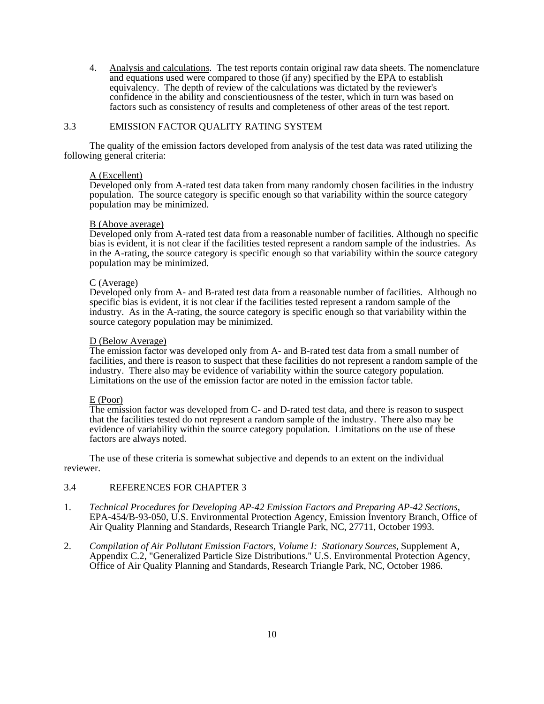4. Analysis and calculations. The test reports contain original raw data sheets. The nomenclature and equations used were compared to those (if any) specified by the EPA to establish equivalency. The depth of review of the calculations was dictated by the reviewer's confidence in the ability and conscientiousness of the tester, which in turn was based on factors such as consistency of results and completeness of other areas of the test report.

## 3.3 EMISSION FACTOR QUALITY RATING SYSTEM

The quality of the emission factors developed from analysis of the test data was rated utilizing the following general criteria:

#### A (Excellent)

Developed only from A-rated test data taken from many randomly chosen facilities in the industry population. The source category is specific enough so that variability within the source category population may be minimized.

#### B (Above average)

Developed only from A-rated test data from a reasonable number of facilities. Although no specific bias is evident, it is not clear if the facilities tested represent a random sample of the industries. As in the A-rating, the source category is specific enough so that variability within the source category population may be minimized.

#### C (Average)

Developed only from A- and B-rated test data from a reasonable number of facilities. Although no specific bias is evident, it is not clear if the facilities tested represent a random sample of the industry. As in the A-rating, the source category is specific enough so that variability within the source category population may be minimized.

#### D (Below Average)

The emission factor was developed only from A- and B-rated test data from a small number of facilities, and there is reason to suspect that these facilities do not represent a random sample of the industry. There also may be evidence of variability within the source category population. Limitations on the use of the emission factor are noted in the emission factor table.

### E (Poor)

The emission factor was developed from C- and D-rated test data, and there is reason to suspect that the facilities tested do not represent a random sample of the industry. There also may be evidence of variability within the source category population. Limitations on the use of these factors are always noted.

The use of these criteria is somewhat subjective and depends to an extent on the individual reviewer.

## 3.4 REFERENCES FOR CHAPTER 3

- 1. *Technical Procedures for Developing AP-42 Emission Factors and Preparing AP-42 Sections*, EPA-454/B-93-050, U.S. Environmental Protection Agency, Emission Inventory Branch, Office of Air Quality Planning and Standards, Research Triangle Park, NC, 27711, October 1993.
- 2. *Compilation of Air Pollutant Emission Factors, Volume I: Stationary Sources*, Supplement A, Appendix C.2, "Generalized Particle Size Distributions." U.S. Environmental Protection Agency, Office of Air Quality Planning and Standards, Research Triangle Park, NC, October 1986.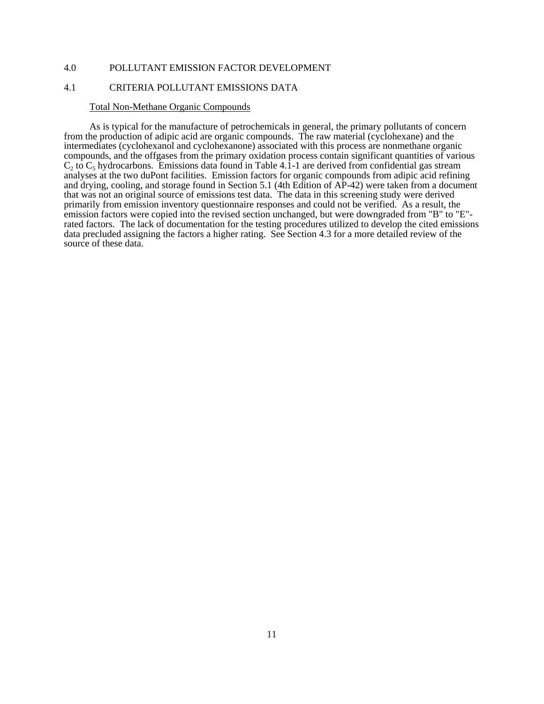## 4.0 POLLUTANT EMISSION FACTOR DEVELOPMENT

## 4.1 CRITERIA POLLUTANT EMISSIONS DATA

#### Total Non-Methane Organic Compounds

As is typical for the manufacture of petrochemicals in general, the primary pollutants of concern from the production of adipic acid are organic compounds. The raw material (cyclohexane) and the intermediates (cyclohexanol and cyclohexanone) associated with this process are nonmethane organic compounds, and the offgases from the primary oxidation process contain significant quantities of various  $C_2$  to  $C_5$  hydrocarbons. Emissions data found in Table 4.1-1 are derived from confidential gas stream analyses at the two duPont facilities. Emission factors for organic compounds from adipic acid refining and drying, cooling, and storage found in Section 5.1 (4th Edition of AP-42) were taken from a document that was not an original source of emissions test data. The data in this screening study were derived primarily from emission inventory questionnaire responses and could not be verified. As a result, the emission factors were copied into the revised section unchanged, but were downgraded from "B" to "E" rated factors. The lack of documentation for the testing procedures utilized to develop the cited emissions data precluded assigning the factors a higher rating. See Section 4.3 for a more detailed review of the source of these data.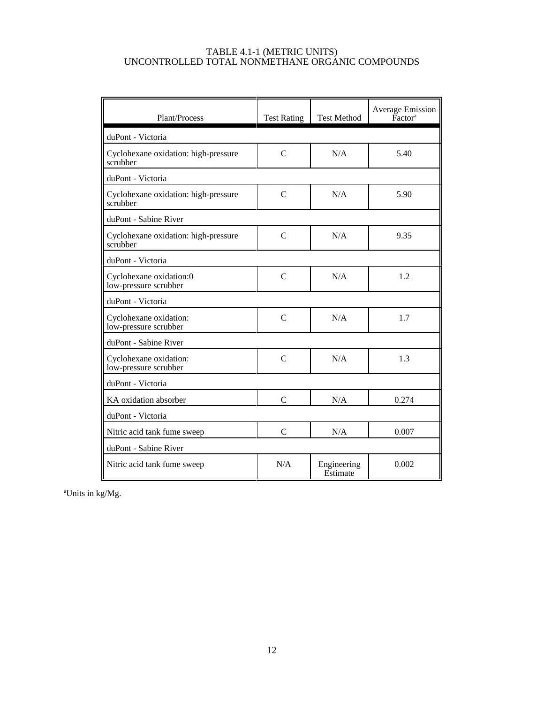## TABLE 4.1-1 (METRIC UNITS) UNCONTROLLED TOTAL NONMETHANE ORGANIC COMPOUNDS

| Plant/Process                                    | <b>Test Rating</b> | <b>Test Method</b>      | <b>Average Emission</b><br>$\overline{F}$ actor <sup>a</sup> |
|--------------------------------------------------|--------------------|-------------------------|--------------------------------------------------------------|
| duPont - Victoria                                |                    |                         |                                                              |
| Cyclohexane oxidation: high-pressure<br>scrubber | $\mathcal{C}$      | N/A                     | 5.40                                                         |
| duPont - Victoria                                |                    |                         |                                                              |
| Cyclohexane oxidation: high-pressure<br>scrubber | $\mathcal{C}$      | N/A                     | 5.90                                                         |
| duPont - Sabine River                            |                    |                         |                                                              |
| Cyclohexane oxidation: high-pressure<br>scrubber | $\mathcal{C}$      | N/A                     | 9.35                                                         |
| duPont - Victoria                                |                    |                         |                                                              |
| Cyclohexane oxidation:0<br>low-pressure scrubber | $\mathcal{C}$      | N/A                     | 1.2                                                          |
| duPont - Victoria                                |                    |                         |                                                              |
| Cyclohexane oxidation:<br>low-pressure scrubber  | $\mathsf{C}$       | N/A                     | 1.7                                                          |
| duPont - Sabine River                            |                    |                         |                                                              |
| Cyclohexane oxidation:<br>low-pressure scrubber  | $\overline{C}$     | N/A                     | 1.3                                                          |
| duPont - Victoria                                |                    |                         |                                                              |
| KA oxidation absorber                            | $\mathcal{C}$      | N/A                     | 0.274                                                        |
| duPont - Victoria                                |                    |                         |                                                              |
| Nitric acid tank fume sweep                      | $\overline{C}$     | N/A                     | 0.007                                                        |
| duPont - Sabine River                            |                    |                         |                                                              |
| Nitric acid tank fume sweep                      | N/A                | Engineering<br>Estimate | 0.002                                                        |

a Units in kg/Mg.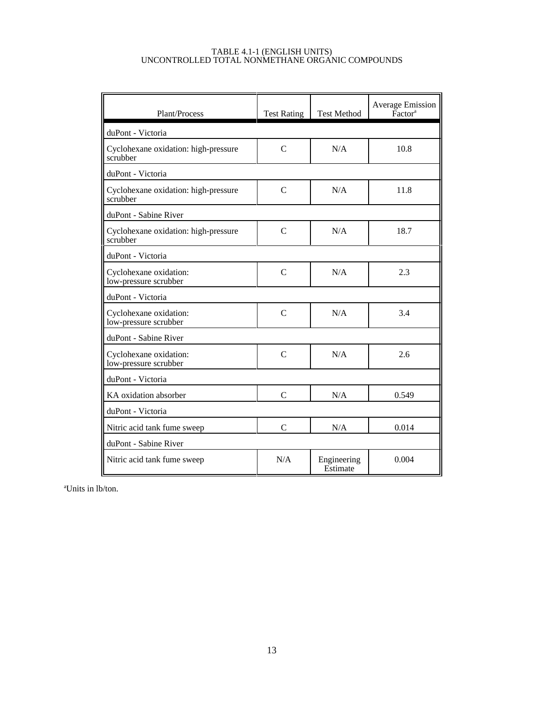#### TABLE 4.1-1 (ENGLISH UNITS) UNCONTROLLED TOTAL NONMETHANE ORGANIC COMPOUNDS

| Plant/Process                                    | <b>Test Rating</b> | <b>Test Method</b>      | <b>Average Emission</b><br>Factor <sup>a</sup> |
|--------------------------------------------------|--------------------|-------------------------|------------------------------------------------|
| duPont - Victoria                                |                    |                         |                                                |
| Cyclohexane oxidation: high-pressure<br>scrubber | $\mathcal{C}$      | N/A                     | 10.8                                           |
| duPont - Victoria                                |                    |                         |                                                |
| Cyclohexane oxidation: high-pressure<br>scrubber | $\mathcal{C}$      | N/A                     | 11.8                                           |
| duPont - Sabine River                            |                    |                         |                                                |
| Cyclohexane oxidation: high-pressure<br>scrubber | $\mathcal{C}$      | N/A                     | 18.7                                           |
| duPont - Victoria                                |                    |                         |                                                |
| Cyclohexane oxidation:<br>low-pressure scrubber  | $\mathcal{C}$      | N/A                     | 2.3                                            |
| duPont - Victoria                                |                    |                         |                                                |
| Cyclohexane oxidation:<br>low-pressure scrubber  | $\mathcal{C}$      | N/A                     | 3.4                                            |
| duPont - Sabine River                            |                    |                         |                                                |
| Cyclohexane oxidation:<br>low-pressure scrubber  | $\mathcal{C}$      | N/A                     | 2.6                                            |
| duPont - Victoria                                |                    |                         |                                                |
| KA oxidation absorber                            | $\mathcal{C}$      | N/A                     | 0.549                                          |
| duPont - Victoria                                |                    |                         |                                                |
| Nitric acid tank fume sweep                      | $\overline{C}$     | N/A                     | 0.014                                          |
| duPont - Sabine River                            |                    |                         |                                                |
| Nitric acid tank fume sweep                      | N/A                | Engineering<br>Estimate | 0.004                                          |

a Units in lb/ton.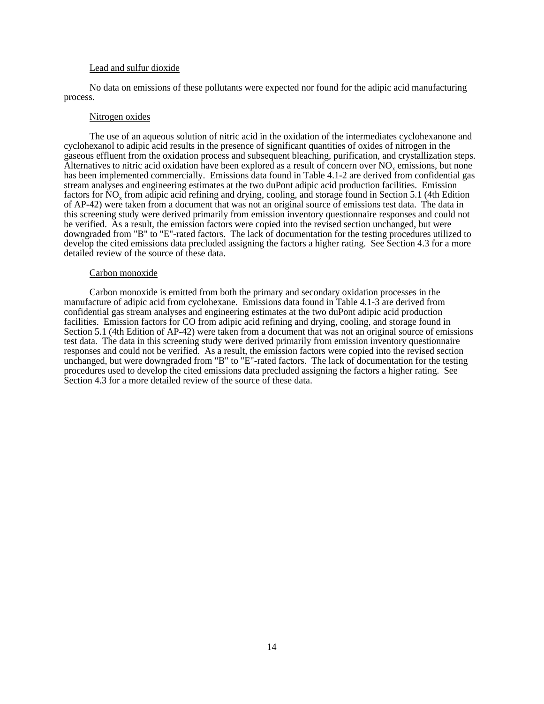#### Lead and sulfur dioxide

No data on emissions of these pollutants were expected nor found for the adipic acid manufacturing process.

## Nitrogen oxides

The use of an aqueous solution of nitric acid in the oxidation of the intermediates cyclohexanone and cyclohexanol to adipic acid results in the presence of significant quantities of oxides of nitrogen in the gaseous effluent from the oxidation process and subsequent bleaching, purification, and crystallization steps. Alternatives to nitric acid oxidation have been explored as a result of concern over  $NO<sub>x</sub>$  emissions, but none has been implemented commercially. Emissions data found in Table 4.1-2 are derived from confidential gas stream analyses and engineering estimates at the two duPont adipic acid production facilities. Emission factors for  $\text{NO}_x$  from adipic acid refining and drying, cooling, and storage found in Section 5.1 (4th Edition of AP-42) were taken from a document that was not an original source of emissions test data. The data in this screening study were derived primarily from emission inventory questionnaire responses and could not be verified. As a result, the emission factors were copied into the revised section unchanged, but were downgraded from "B" to "E"-rated factors. The lack of documentation for the testing procedures utilized to develop the cited emissions data precluded assigning the factors a higher rating. See Section 4.3 for a more detailed review of the source of these data.

#### Carbon monoxide

Carbon monoxide is emitted from both the primary and secondary oxidation processes in the manufacture of adipic acid from cyclohexane. Emissions data found in Table 4.1-3 are derived from confidential gas stream analyses and engineering estimates at the two duPont adipic acid production facilities. Emission factors for CO from adipic acid refining and drying, cooling, and storage found in Section 5.1 (4th Edition of AP-42) were taken from a document that was not an original source of emissions test data. The data in this screening study were derived primarily from emission inventory questionnaire responses and could not be verified. As a result, the emission factors were copied into the revised section unchanged, but were downgraded from "B" to "E"-rated factors. The lack of documentation for the testing procedures used to develop the cited emissions data precluded assigning the factors a higher rating. See Section 4.3 for a more detailed review of the source of these data.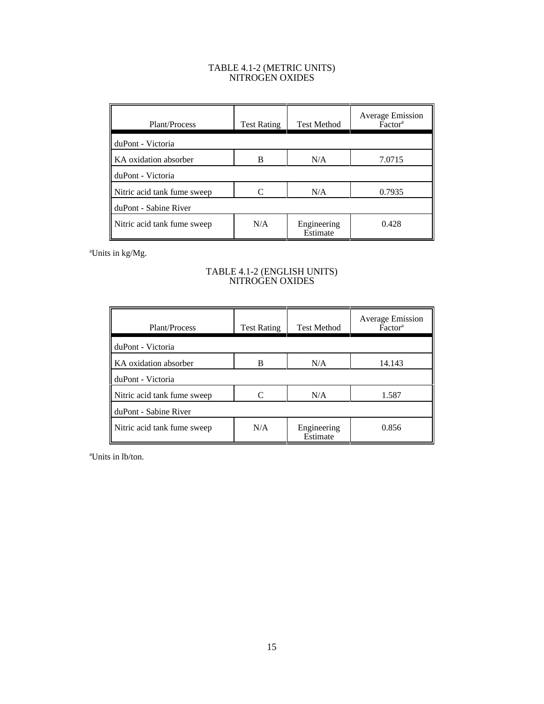#### TABLE 4.1-2 (METRIC UNITS) NITROGEN OXIDES

| Plant/Process               | <b>Test Rating</b> | <b>Test Method</b>      | <b>Average Emission</b><br>Factor <sup>a</sup> |  |  |
|-----------------------------|--------------------|-------------------------|------------------------------------------------|--|--|
| duPont - Victoria           |                    |                         |                                                |  |  |
| KA oxidation absorber       | в                  | N/A                     | 7.0715                                         |  |  |
| duPont - Victoria           |                    |                         |                                                |  |  |
| Nitric acid tank fume sweep |                    | N/A                     | 0.7935                                         |  |  |
| duPont - Sabine River       |                    |                         |                                                |  |  |
| Nitric acid tank fume sweep | N/A                | Engineering<br>Estimate | 0.428                                          |  |  |

a Units in kg/Mg.

## TABLE 4.1-2 (ENGLISH UNITS) NITROGEN OXIDES

| Plant/Process               | <b>Test Rating</b> | <b>Test Method</b>      | <b>Average Emission</b><br>Factor <sup>a</sup> |  |  |
|-----------------------------|--------------------|-------------------------|------------------------------------------------|--|--|
| duPont - Victoria           |                    |                         |                                                |  |  |
| KA oxidation absorber       | B                  | N/A                     | 14.143                                         |  |  |
| duPont - Victoria           |                    |                         |                                                |  |  |
| Nitric acid tank fume sweep |                    | N/A                     | 1.587                                          |  |  |
| duPont - Sabine River       |                    |                         |                                                |  |  |
| Nitric acid tank fume sweep | N/A                | Engineering<br>Estimate | 0.856                                          |  |  |

a Units in lb/ton.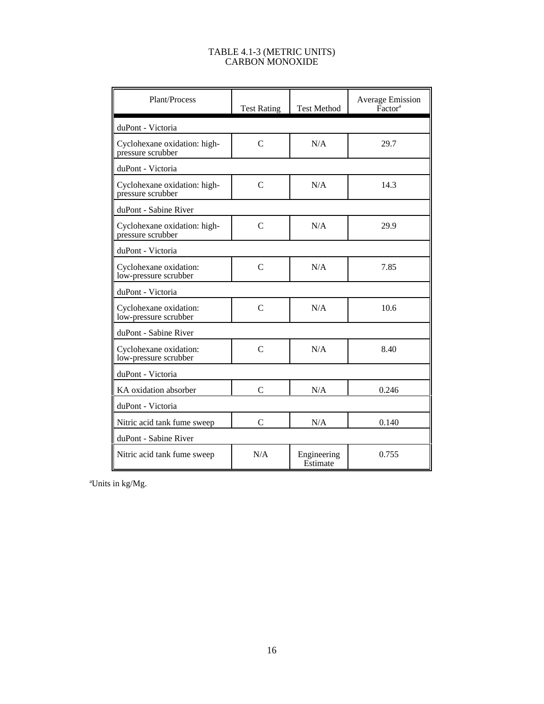## TABLE 4.1-3 (METRIC UNITS) CARBON MONOXIDE

| Plant/Process                                     | <b>Test Rating</b> | <b>Test Method</b>      | <b>Average Emission</b><br>Factor <sup>a</sup> |  |  |
|---------------------------------------------------|--------------------|-------------------------|------------------------------------------------|--|--|
| duPont - Victoria                                 |                    |                         |                                                |  |  |
| Cyclohexane oxidation: high-<br>pressure scrubber | $\mathcal{C}$      | N/A                     | 29.7                                           |  |  |
| duPont - Victoria                                 |                    |                         |                                                |  |  |
| Cyclohexane oxidation: high-<br>pressure scrubber | $\mathcal{C}$      | N/A                     | 14.3                                           |  |  |
| duPont - Sabine River                             |                    |                         |                                                |  |  |
| Cyclohexane oxidation: high-<br>pressure scrubber | $\mathcal{C}$      | N/A                     | 29.9                                           |  |  |
| duPont - Victoria                                 |                    |                         |                                                |  |  |
| Cyclohexane oxidation:<br>low-pressure scrubber   | $\mathcal{C}$      | N/A                     | 7.85                                           |  |  |
| duPont - Victoria                                 |                    |                         |                                                |  |  |
| Cyclohexane oxidation:<br>low-pressure scrubber   | $\mathcal{C}$      | N/A                     | 10.6                                           |  |  |
| duPont - Sabine River                             |                    |                         |                                                |  |  |
| Cyclohexane oxidation:<br>low-pressure scrubber   | $\mathcal{C}$      | N/A                     | 8.40                                           |  |  |
| duPont - Victoria                                 |                    |                         |                                                |  |  |
| KA oxidation absorber                             | $\mathcal{C}$      | N/A                     | 0.246                                          |  |  |
| duPont - Victoria                                 |                    |                         |                                                |  |  |
| Nitric acid tank fume sweep                       | $\mathcal{C}$      | N/A                     | 0.140                                          |  |  |
| duPont - Sabine River                             |                    |                         |                                                |  |  |
| Nitric acid tank fume sweep                       | N/A                | Engineering<br>Estimate | 0.755                                          |  |  |

a Units in kg/Mg.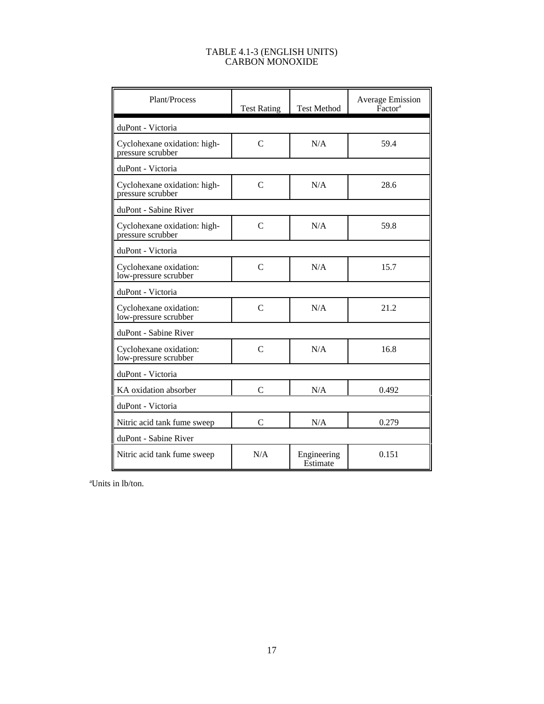### TABLE 4.1-3 (ENGLISH UNITS) CARBON MONOXIDE

| Plant/Process                                     |                    |                         | <b>Average Emission</b> |  |  |  |
|---------------------------------------------------|--------------------|-------------------------|-------------------------|--|--|--|
|                                                   | <b>Test Rating</b> | <b>Test Method</b>      | Factor <sup>a</sup>     |  |  |  |
| duPont - Victoria                                 |                    |                         |                         |  |  |  |
| Cyclohexane oxidation: high-<br>pressure scrubber | $\mathcal{C}$      | N/A                     | 59.4                    |  |  |  |
| duPont - Victoria                                 |                    |                         |                         |  |  |  |
| Cyclohexane oxidation: high-<br>pressure scrubber | $\mathcal{C}$      | N/A                     | 28.6                    |  |  |  |
| duPont - Sabine River                             |                    |                         |                         |  |  |  |
| Cyclohexane oxidation: high-<br>pressure scrubber | $\mathcal{C}$      | N/A                     | 59.8                    |  |  |  |
| duPont - Victoria                                 |                    |                         |                         |  |  |  |
| Cyclohexane oxidation:<br>low-pressure scrubber   | $\mathsf{C}$       | N/A                     | 15.7                    |  |  |  |
| duPont - Victoria                                 |                    |                         |                         |  |  |  |
| Cyclohexane oxidation:<br>low-pressure scrubber   | $\mathcal{C}$      | N/A                     | 21.2                    |  |  |  |
| duPont - Sabine River                             |                    |                         |                         |  |  |  |
| Cyclohexane oxidation:<br>low-pressure scrubber   | $\mathcal{C}$      | N/A                     | 16.8                    |  |  |  |
| duPont - Victoria                                 |                    |                         |                         |  |  |  |
| KA oxidation absorber                             | $\mathcal{C}$      | N/A                     | 0.492                   |  |  |  |
| duPont - Victoria                                 |                    |                         |                         |  |  |  |
| Nitric acid tank fume sweep                       | $\mathcal{C}$      | N/A                     | 0.279                   |  |  |  |
| duPont - Sabine River                             |                    |                         |                         |  |  |  |
| Nitric acid tank fume sweep                       | N/A                | Engineering<br>Estimate | 0.151                   |  |  |  |

a Units in lb/ton.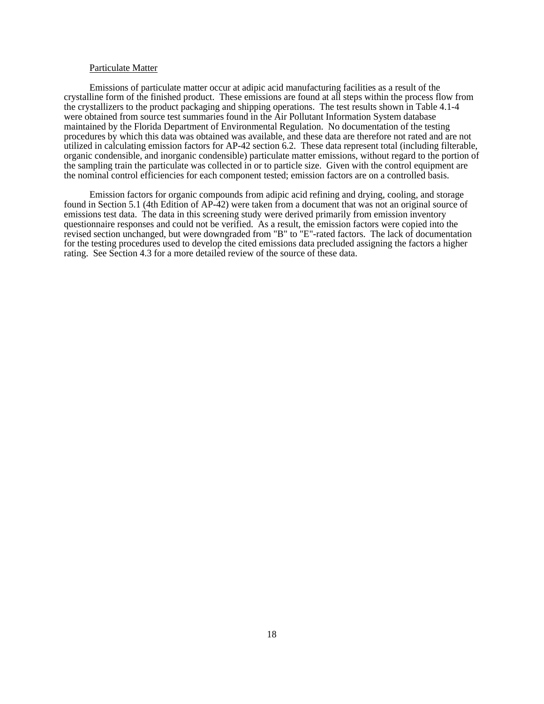#### Particulate Matter

Emissions of particulate matter occur at adipic acid manufacturing facilities as a result of the crystalline form of the finished product. These emissions are found at all steps within the process flow from the crystallizers to the product packaging and shipping operations. The test results shown in Table 4.1-4 were obtained from source test summaries found in the Air Pollutant Information System database maintained by the Florida Department of Environmental Regulation. No documentation of the testing procedures by which this data was obtained was available, and these data are therefore not rated and are not utilized in calculating emission factors for AP-42 section 6.2. These data represent total (including filterable, organic condensible, and inorganic condensible) particulate matter emissions, without regard to the portion of the sampling train the particulate was collected in or to particle size. Given with the control equipment are the nominal control efficiencies for each component tested; emission factors are on a controlled basis.

Emission factors for organic compounds from adipic acid refining and drying, cooling, and storage found in Section 5.1 (4th Edition of AP-42) were taken from a document that was not an original source of emissions test data. The data in this screening study were derived primarily from emission inventory questionnaire responses and could not be verified. As a result, the emission factors were copied into the revised section unchanged, but were downgraded from "B" to "E"-rated factors. The lack of documentation for the testing procedures used to develop the cited emissions data precluded assigning the factors a higher rating. See Section 4.3 for a more detailed review of the source of these data.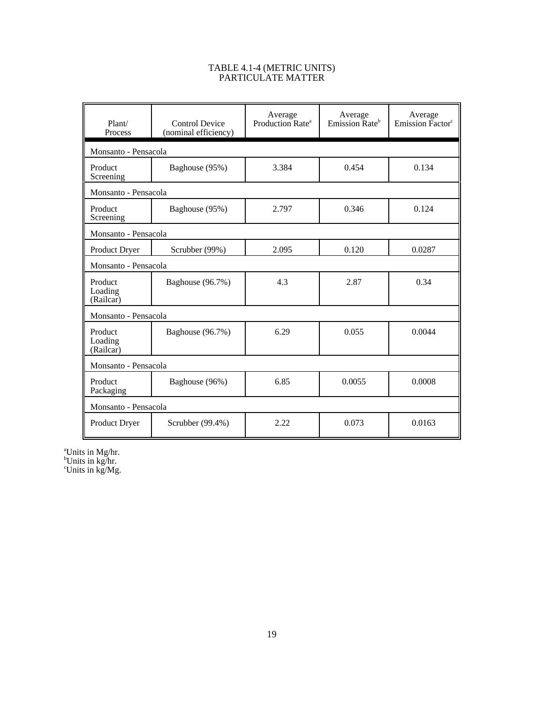### TABLE 4.1-4 (METRIC UNITS) PARTICULATE MATTER

| Plant/<br>Process               | <b>Control Device</b><br>(nominal efficiency) | Average<br>Production Rate <sup>a</sup> | Average<br>Emission Rate <sup>b</sup> | Average<br>Emission Factor <sup>c</sup> |  |  |  |
|---------------------------------|-----------------------------------------------|-----------------------------------------|---------------------------------------|-----------------------------------------|--|--|--|
|                                 | Monsanto - Pensacola                          |                                         |                                       |                                         |  |  |  |
| Product<br>Screening            | Baghouse (95%)                                | 3.384                                   | 0.454                                 | 0.134                                   |  |  |  |
| Monsanto - Pensacola            |                                               |                                         |                                       |                                         |  |  |  |
| Product<br>Screening            | Baghouse (95%)                                | 2.797                                   | 0.346                                 | 0.124                                   |  |  |  |
| Monsanto - Pensacola            |                                               |                                         |                                       |                                         |  |  |  |
| Product Dryer                   | Scrubber (99%)                                | 2.095                                   | 0.120                                 | 0.0287                                  |  |  |  |
| Monsanto - Pensacola            |                                               |                                         |                                       |                                         |  |  |  |
| Product<br>Loading<br>(Railcar) | Baghouse (96.7%)                              | 4.3                                     | 2.87                                  | 0.34                                    |  |  |  |
| Monsanto - Pensacola            |                                               |                                         |                                       |                                         |  |  |  |
| Product<br>Loading<br>(Railcar) | Baghouse (96.7%)                              | 6.29                                    | 0.055                                 | 0.0044                                  |  |  |  |
| Monsanto - Pensacola            |                                               |                                         |                                       |                                         |  |  |  |
| Product<br>Packaging            | Baghouse (96%)                                | 6.85                                    | 0.0055                                | 0.0008                                  |  |  |  |
|                                 | Monsanto - Pensacola                          |                                         |                                       |                                         |  |  |  |
| Product Dryer                   | Scrubber (99.4%)                              | 2.22                                    | 0.073                                 | 0.0163                                  |  |  |  |

<sup>a</sup>Units in Mg/hr.<br><sup>b</sup>Units in kg/hr.<br><sup>c</sup>Units in kg/Mg.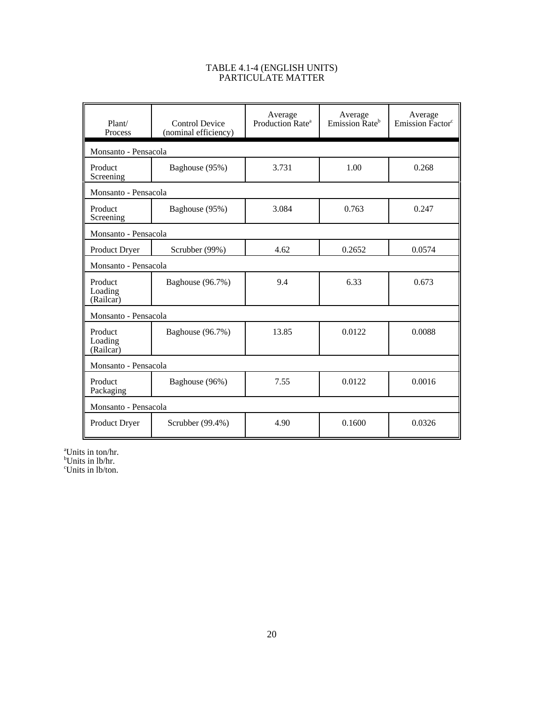#### TABLE 4.1-4 (ENGLISH UNITS) PARTICULATE MATTER

| Plant/<br>Process               | <b>Control Device</b><br>(nominal efficiency) | Average<br>Production Rate <sup>a</sup> | Average<br>Emission Rate <sup>b</sup> | Average<br>Emission Factor <sup>c</sup> |  |  |
|---------------------------------|-----------------------------------------------|-----------------------------------------|---------------------------------------|-----------------------------------------|--|--|
| Monsanto - Pensacola            |                                               |                                         |                                       |                                         |  |  |
| Product<br>Screening            | Baghouse (95%)                                | 3.731                                   | 1.00                                  | 0.268                                   |  |  |
| Monsanto - Pensacola            |                                               |                                         |                                       |                                         |  |  |
| Product<br>Screening            | Baghouse (95%)                                | 3.084                                   | 0.763                                 | 0.247                                   |  |  |
| Monsanto - Pensacola            |                                               |                                         |                                       |                                         |  |  |
| Product Dryer                   | Scrubber (99%)                                | 4.62                                    | 0.2652                                | 0.0574                                  |  |  |
| Monsanto - Pensacola            |                                               |                                         |                                       |                                         |  |  |
| Product<br>Loading<br>(Railcar) | Baghouse (96.7%)                              | 9.4                                     | 6.33                                  | 0.673                                   |  |  |
| Monsanto - Pensacola            |                                               |                                         |                                       |                                         |  |  |
| Product<br>Loading<br>(Railcar) | Baghouse (96.7%)                              | 13.85                                   | 0.0122                                | 0.0088                                  |  |  |
|                                 | Monsanto - Pensacola                          |                                         |                                       |                                         |  |  |
| Product<br>Packaging            | Baghouse (96%)                                | 7.55                                    | 0.0122                                | 0.0016                                  |  |  |
|                                 | Monsanto - Pensacola                          |                                         |                                       |                                         |  |  |
| Product Dryer                   | Scrubber (99.4%)                              | 4.90                                    | 0.1600                                | 0.0326                                  |  |  |

<sup>a</sup>Units in ton/hr.<br><sup>b</sup>Units in lb/hr.<br><sup>c</sup>Units in lb/ton.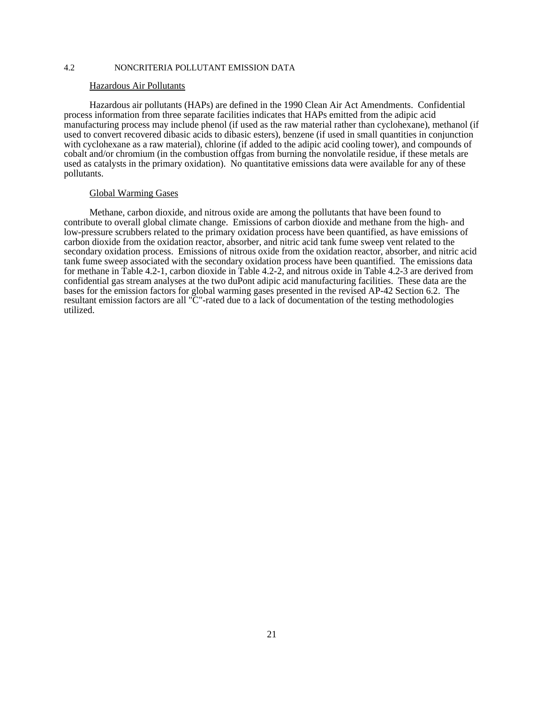### 4.2 NONCRITERIA POLLUTANT EMISSION DATA

### Hazardous Air Pollutants

Hazardous air pollutants (HAPs) are defined in the 1990 Clean Air Act Amendments. Confidential process information from three separate facilities indicates that HAPs emitted from the adipic acid manufacturing process may include phenol (if used as the raw material rather than cyclohexane), methanol (if used to convert recovered dibasic acids to dibasic esters), benzene (if used in small quantities in conjunction with cyclohexane as a raw material), chlorine (if added to the adipic acid cooling tower), and compounds of cobalt and/or chromium (in the combustion offgas from burning the nonvolatile residue, if these metals are used as catalysts in the primary oxidation). No quantitative emissions data were available for any of these pollutants.

#### Global Warming Gases

Methane, carbon dioxide, and nitrous oxide are among the pollutants that have been found to contribute to overall global climate change. Emissions of carbon dioxide and methane from the high- and low-pressure scrubbers related to the primary oxidation process have been quantified, as have emissions of carbon dioxide from the oxidation reactor, absorber, and nitric acid tank fume sweep vent related to the secondary oxidation process. Emissions of nitrous oxide from the oxidation reactor, absorber, and nitric acid tank fume sweep associated with the secondary oxidation process have been quantified. The emissions data for methane in Table 4.2-1, carbon dioxide in Table 4.2-2, and nitrous oxide in Table 4.2-3 are derived from confidential gas stream analyses at the two duPont adipic acid manufacturing facilities. These data are the bases for the emission factors for global warming gases presented in the revised AP-42 Section 6.2. The resultant emission factors are all "C"-rated due to a lack of documentation of the testing methodologies utilized.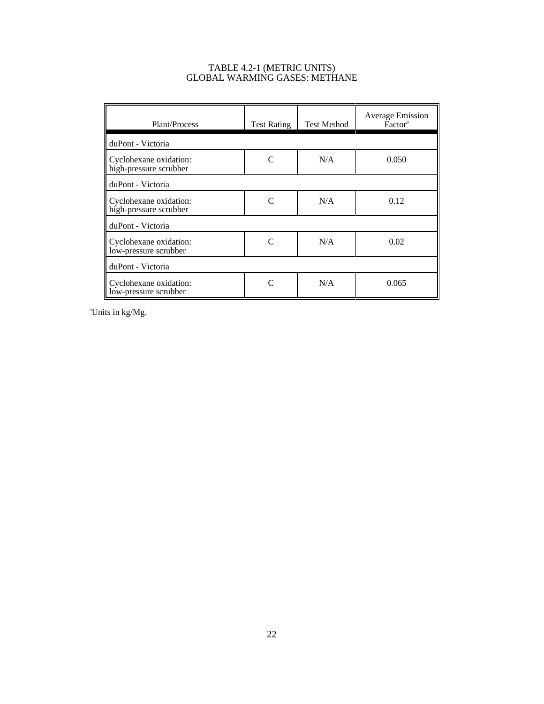### TABLE 4.2-1 (METRIC UNITS) GLOBAL WARMING GASES: METHANE

| Plant/Process                                    | <b>Test Rating</b> | <b>Test Method</b> | <b>Average Emission</b><br>Factor <sup>a</sup> |
|--------------------------------------------------|--------------------|--------------------|------------------------------------------------|
| duPont - Victoria                                |                    |                    |                                                |
| Cyclohexane oxidation:<br>high-pressure scrubber | C                  | N/A                | 0.050                                          |
| duPont - Victoria                                |                    |                    |                                                |
| Cyclohexane oxidation:<br>high-pressure scrubber | $\subset$          | N/A                | 0.12                                           |
| duPont - Victoria                                |                    |                    |                                                |
| Cyclohexane oxidation:<br>low-pressure scrubber  | $\mathsf{\Gamma}$  | N/A                | 0.02                                           |
| duPont - Victoria                                |                    |                    |                                                |
| Cyclohexane oxidation:<br>low-pressure scrubber  |                    | N/A                | 0.065                                          |

a Units in kg/Mg.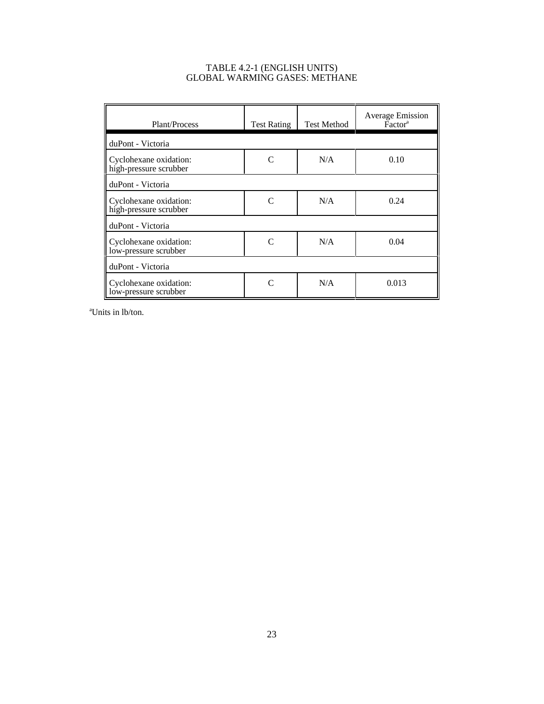### TABLE 4.2-1 (ENGLISH UNITS) GLOBAL WARMING GASES: METHANE

| Plant/Process                                    | <b>Test Rating</b> | <b>Test Method</b> | <b>Average Emission</b><br>Factor <sup>a</sup> |
|--------------------------------------------------|--------------------|--------------------|------------------------------------------------|
| duPont - Victoria                                |                    |                    |                                                |
| Cyclohexane oxidation:<br>high-pressure scrubber | C                  | N/A                | 0.10                                           |
| duPont - Victoria                                |                    |                    |                                                |
| Cyclohexane oxidation:<br>high-pressure scrubber | C                  | N/A                | 0.24                                           |
| duPont - Victoria                                |                    |                    |                                                |
| Cyclohexane oxidation:<br>low-pressure scrubber  | $\mathsf{\Gamma}$  | N/A                | 0.04                                           |
| duPont - Victoria                                |                    |                    |                                                |
| Cyclohexane oxidation:<br>low-pressure scrubber  |                    | N/A                | 0.013                                          |

a Units in lb/ton.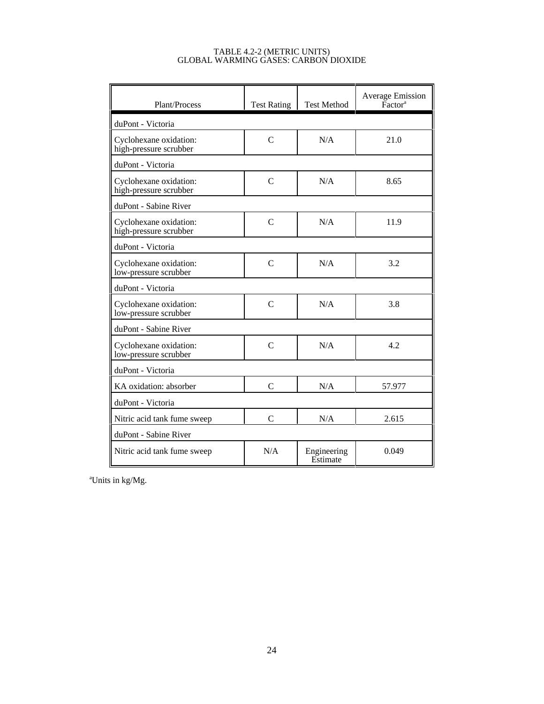#### TABLE 4.2-2 (METRIC UNITS) GLOBAL WARMING GASES: CARBON DIOXIDE

| Plant/Process                                    | <b>Test Rating</b> | <b>Test Method</b>      | <b>Average Emission</b><br>$\overline{F}$ actor <sup>a</sup> |
|--------------------------------------------------|--------------------|-------------------------|--------------------------------------------------------------|
| duPont - Victoria                                |                    |                         |                                                              |
| Cyclohexane oxidation:<br>high-pressure scrubber | $\mathcal{C}$      | N/A                     | 21.0                                                         |
| duPont - Victoria                                |                    |                         |                                                              |
| Cyclohexane oxidation:<br>high-pressure scrubber | $\mathcal{C}$      | N/A                     | 8.65                                                         |
| duPont - Sabine River                            |                    |                         |                                                              |
| Cyclohexane oxidation:<br>high-pressure scrubber | $\mathcal{C}$      | N/A                     | 11.9                                                         |
| duPont - Victoria                                |                    |                         |                                                              |
| Cyclohexane oxidation:<br>low-pressure scrubber  | $\mathcal{C}$      | N/A                     | 3.2                                                          |
| duPont - Victoria                                |                    |                         |                                                              |
| Cyclohexane oxidation:<br>low-pressure scrubber  | $\mathsf{C}$       | N/A                     | 3.8                                                          |
| duPont - Sabine River                            |                    |                         |                                                              |
| Cyclohexane oxidation:<br>low-pressure scrubber  | $\mathcal{C}$      | N/A                     | 4.2                                                          |
| duPont - Victoria                                |                    |                         |                                                              |
| KA oxidation: absorber                           | $\mathcal{C}$      | N/A                     | 57.977                                                       |
| duPont - Victoria                                |                    |                         |                                                              |
| Nitric acid tank fume sweep                      | $\mathcal{C}$      | N/A                     | 2.615                                                        |
| duPont - Sabine River                            |                    |                         |                                                              |
| Nitric acid tank fume sweep                      | N/A                | Engineering<br>Estimate | 0.049                                                        |

a Units in kg/Mg.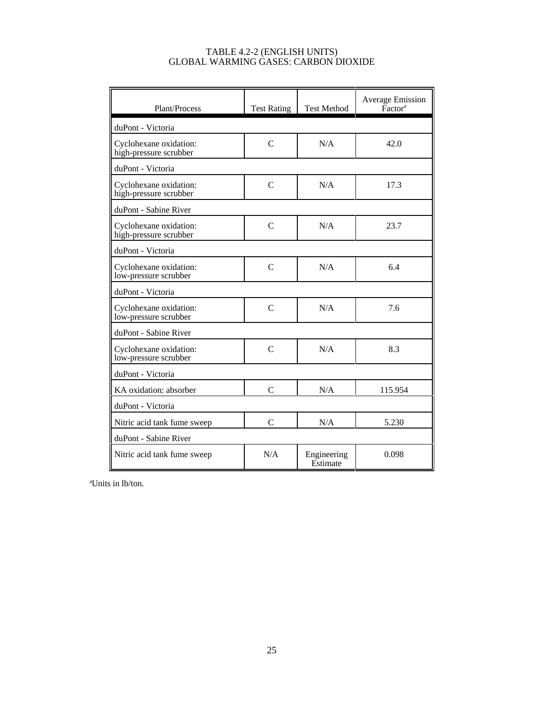### TABLE 4.2-2 (ENGLISH UNITS) GLOBAL WARMING GASES: CARBON DIOXIDE

| Plant/Process                                    | <b>Test Rating</b> | <b>Test Method</b>      | <b>Average Emission</b><br>$\overline{F}$ actor <sup>a</sup> |  |
|--------------------------------------------------|--------------------|-------------------------|--------------------------------------------------------------|--|
| duPont - Victoria                                |                    |                         |                                                              |  |
| Cyclohexane oxidation:<br>high-pressure scrubber | $\mathcal{C}$      | N/A                     | 42.0                                                         |  |
| duPont - Victoria                                |                    |                         |                                                              |  |
| Cyclohexane oxidation:<br>high-pressure scrubber | $\mathcal{C}$      | N/A                     | 17.3                                                         |  |
| duPont - Sabine River                            |                    |                         |                                                              |  |
| Cyclohexane oxidation:<br>high-pressure scrubber | $\mathcal{C}$      | N/A                     | 23.7                                                         |  |
| duPont - Victoria                                |                    |                         |                                                              |  |
| Cyclohexane oxidation:<br>low-pressure scrubber  | $\mathsf{C}$       | N/A                     | 6.4                                                          |  |
| duPont - Victoria                                |                    |                         |                                                              |  |
| Cyclohexane oxidation:<br>low-pressure scrubber  | $\mathsf{C}$       | N/A                     | 7.6                                                          |  |
| duPont - Sabine River                            |                    |                         |                                                              |  |
| Cyclohexane oxidation:<br>low-pressure scrubber  | $\mathcal{C}$      | N/A                     | 8.3                                                          |  |
| duPont - Victoria                                |                    |                         |                                                              |  |
| KA oxidation: absorber                           | $\mathcal{C}$      | N/A                     | 115.954                                                      |  |
| duPont - Victoria                                |                    |                         |                                                              |  |
| Nitric acid tank fume sweep                      | $\mathcal{C}$      | N/A                     | 5.230                                                        |  |
| duPont - Sabine River                            |                    |                         |                                                              |  |
| Nitric acid tank fume sweep                      | N/A                | Engineering<br>Estimate | 0.098                                                        |  |

a Units in lb/ton.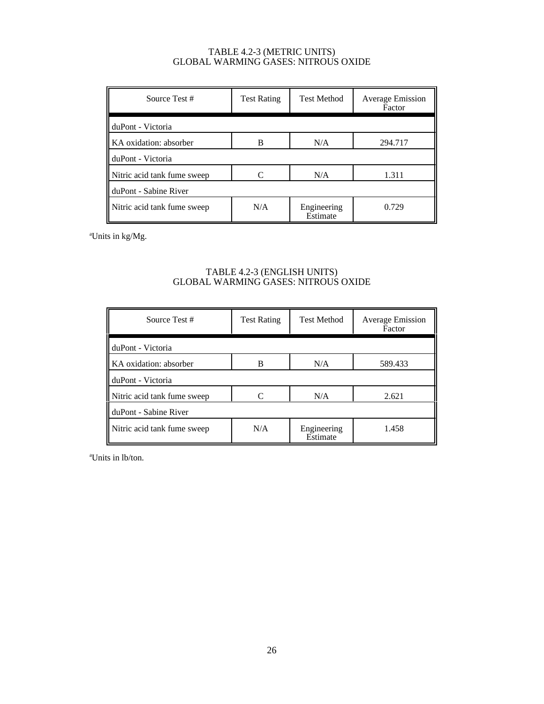## TABLE 4.2-3 (METRIC UNITS) GLOBAL WARMING GASES: NITROUS OXIDE

| Source Test #               | <b>Test Rating</b> | <b>Test Method</b>      | Average Emission<br>Factor |
|-----------------------------|--------------------|-------------------------|----------------------------|
| duPont - Victoria           |                    |                         |                            |
| KA oxidation: absorber      | B                  | N/A                     | 294.717                    |
| duPont - Victoria           |                    |                         |                            |
| Nitric acid tank fume sweep |                    | N/A                     | 1.311                      |
| duPont - Sabine River       |                    |                         |                            |
| Nitric acid tank fume sweep | N/A                | Engineering<br>Estimate | 0.729                      |

a Units in kg/Mg.

## TABLE 4.2-3 (ENGLISH UNITS) GLOBAL WARMING GASES: NITROUS OXIDE

| Source Test #               | <b>Test Rating</b> | <b>Test Method</b>      | <b>Average Emission</b><br>Factor |
|-----------------------------|--------------------|-------------------------|-----------------------------------|
| duPont - Victoria           |                    |                         |                                   |
| KA oxidation: absorber      | B                  | N/A                     | 589.433                           |
| duPont - Victoria           |                    |                         |                                   |
| Nitric acid tank fume sweep |                    | N/A                     | 2.621                             |
| duPont - Sabine River       |                    |                         |                                   |
| Nitric acid tank fume sweep | N/A                | Engineering<br>Estimate | 1.458                             |

a Units in lb/ton.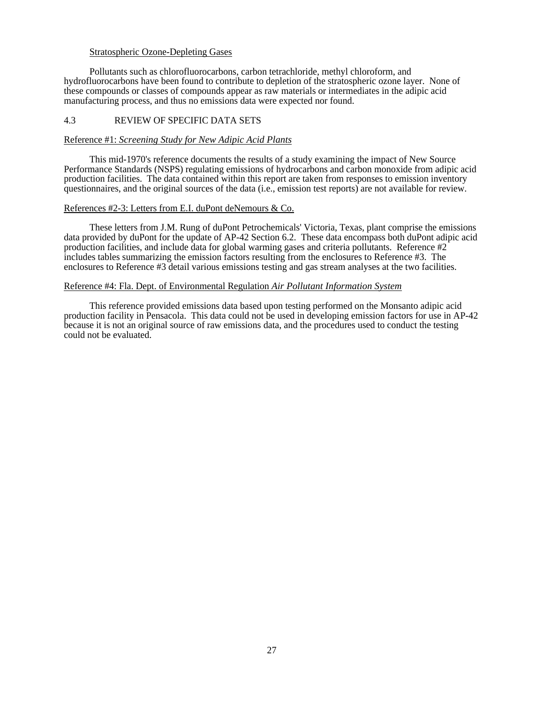#### Stratospheric Ozone-Depleting Gases

Pollutants such as chlorofluorocarbons, carbon tetrachloride, methyl chloroform, and hydrofluorocarbons have been found to contribute to depletion of the stratospheric ozone layer. None of these compounds or classes of compounds appear as raw materials or intermediates in the adipic acid manufacturing process, and thus no emissions data were expected nor found.

### 4.3 REVIEW OF SPECIFIC DATA SETS

#### Reference #1: *Screening Study for New Adipic Acid Plants*

This mid-1970's reference documents the results of a study examining the impact of New Source Performance Standards (NSPS) regulating emissions of hydrocarbons and carbon monoxide from adipic acid production facilities. The data contained within this report are taken from responses to emission inventory questionnaires, and the original sources of the data (i.e., emission test reports) are not available for review.

#### References #2-3: Letters from E.I. duPont deNemours & Co.

These letters from J.M. Rung of duPont Petrochemicals' Victoria, Texas, plant comprise the emissions data provided by duPont for the update of AP-42 Section 6.2. These data encompass both duPont adipic acid production facilities, and include data for global warming gases and criteria pollutants. Reference #2<sup>2</sup> includes tables summarizing the emission factors resulting from the enclosures to Reference #3. The enclosures to Reference #3 detail various emissions testing and gas stream analyses at the two facilities.

#### Reference #4: Fla. Dept. of Environmental Regulation *Air Pollutant Information System*

This reference provided emissions data based upon testing performed on the Monsanto adipic acid production facility in Pensacola. This data could not be used in developing emission factors for use in AP-42 because it is not an original source of raw emissions data, and the procedures used to conduct the testing could not be evaluated.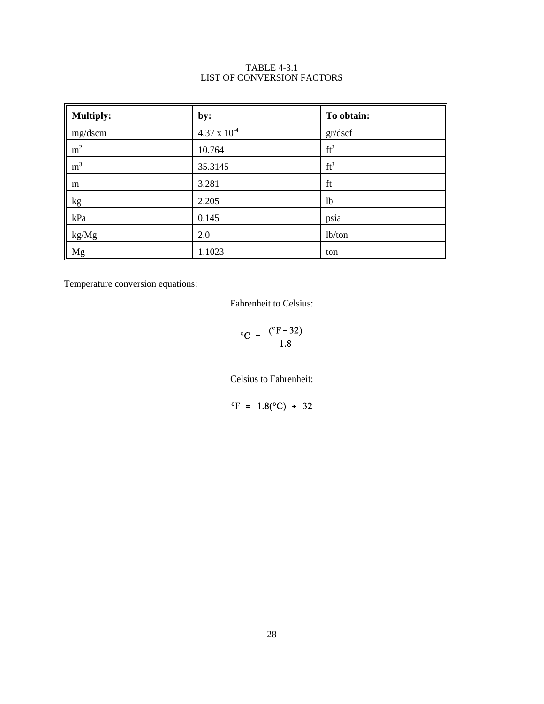## TABLE 4-3.1 LIST OF CONVERSION FACTORS

| ľ<br><b>Multiply:</b>                          | by:                   | To obtain:     |
|------------------------------------------------|-----------------------|----------------|
| ∥<br>mg/dscm                                   | $4.37 \times 10^{-4}$ | gr/dscf        |
| $\ $<br>m <sup>2</sup>                         | 10.764                | $ft^2$         |
| m <sup>3</sup>                                 | 35.3145               | $ft^3$         |
| $\overline{\phantom{0}}$<br>m                  | 3.281                 | ft             |
| $\mathbb I$<br>kg                              | 2.205                 | 1 <sub>b</sub> |
| kPa                                            | 0.145                 | psia           |
| $\mathsf{l}\hspace{-1.5pt}\mathsf{l}$<br>kg/Mg | 2.0                   | lb/ton         |
| Mg                                             | 1.1023                | ton            |

Temperature conversion equations:

Fahrenheit to Celsius:

$$
{}^{\circ}\text{C} = \frac{({}^{\circ}\text{F} - 32)}{1.8}
$$

Celsius to Fahrenheit:

 $^{\circ}F = 1.8(^{\circ}C) + 32$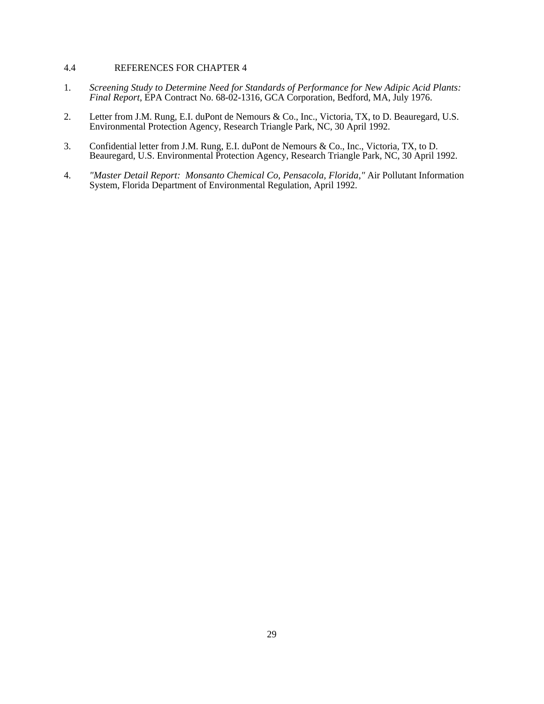## 4.4 REFERENCES FOR CHAPTER 4

- 1. *Screening Study to Determine Need for Standards of Performance for New Adipic Acid Plants: Final Report*, EPA Contract No. 68-02-1316, GCA Corporation, Bedford, MA, July 1976.
- 2. Letter from J.M. Rung, E.I. duPont de Nemours & Co., Inc., Victoria, TX, to D. Beauregard, U.S. Environmental Protection Agency, Research Triangle Park, NC, 30 April 1992.
- 3. Confidential letter from J.M. Rung, E.I. duPont de Nemours & Co., Inc., Victoria, TX, to D. Beauregard, U.S. Environmental Protection Agency, Research Triangle Park, NC, 30 April 1992.
- 4. *"Master Detail Report: Monsanto Chemical Co, Pensacola, Florida,"* Air Pollutant Information System, Florida Department of Environmental Regulation, April 1992.